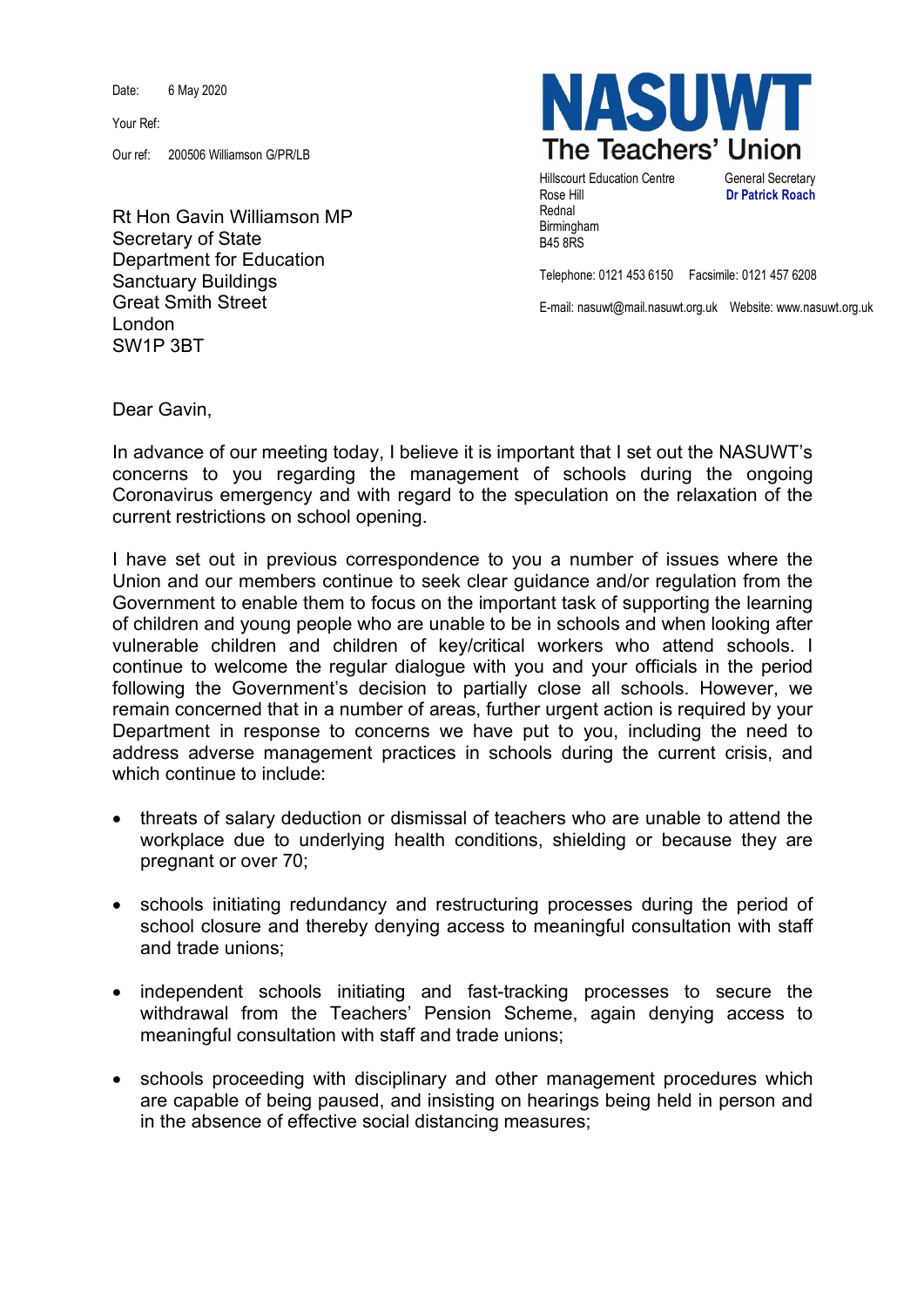Date: 6 May 2020

Your Ref:

Our ref: 200506 Williamson G/PR/LB

Rt Hon Gavin Williamson MP Secretary of State Department for Education Sanctuary Buildings Great Smith Street London SW1P 3BT



**Hillscourt Education Centre General Secretary** Rose Hill **Dr Patrick Roach** Rednal Birmingham B45 8RS

Telephone: 0121 453 6150 Facsimile: 0121 457 6208

E-mail: nasuwt@mail.nasuwt.org.uk Website: www.nasuwt.org.uk

Dear Gavin,

In advance of our meeting today, I believe it is important that I set out the NASUWT's concerns to you regarding the management of schools during the ongoing Coronavirus emergency and with regard to the speculation on the relaxation of the current restrictions on school opening.

I have set out in previous correspondence to you a number of issues where the Union and our members continue to seek clear guidance and/or regulation from the Government to enable them to focus on the important task of supporting the learning of children and young people who are unable to be in schools and when looking after vulnerable children and children of key/critical workers who attend schools. I continue to welcome the regular dialogue with you and your officials in the period following the Government's decision to partially close all schools. However, we remain concerned that in a number of areas, further urgent action is required by your Department in response to concerns we have put to you, including the need to address adverse management practices in schools during the current crisis, and which continue to include:

- threats of salary deduction or dismissal of teachers who are unable to attend the workplace due to underlying health conditions, shielding or because they are pregnant or over 70;
- schools initiating redundancy and restructuring processes during the period of school closure and thereby denying access to meaningful consultation with staff and trade unions;
- independent schools initiating and fast-tracking processes to secure the withdrawal from the Teachers' Pension Scheme, again denying access to meaningful consultation with staff and trade unions;
- schools proceeding with disciplinary and other management procedures which are capable of being paused, and insisting on hearings being held in person and in the absence of effective social distancing measures;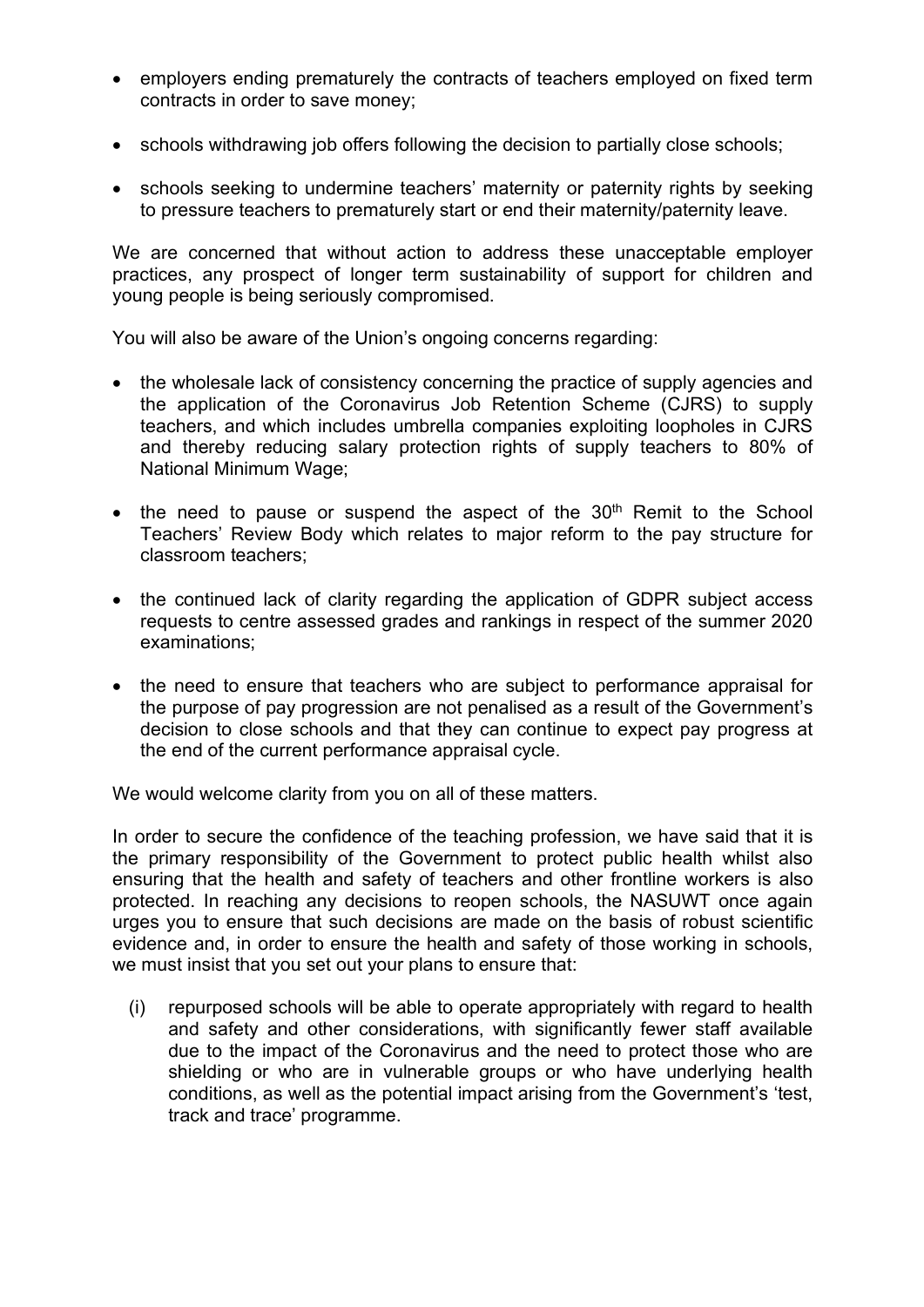- employers ending prematurely the contracts of teachers employed on fixed term contracts in order to save money;
- schools withdrawing job offers following the decision to partially close schools;
- schools seeking to undermine teachers' maternity or paternity rights by seeking to pressure teachers to prematurely start or end their maternity/paternity leave.

We are concerned that without action to address these unacceptable employer practices, any prospect of longer term sustainability of support for children and young people is being seriously compromised.

You will also be aware of the Union's ongoing concerns regarding:

- the wholesale lack of consistency concerning the practice of supply agencies and the application of the Coronavirus Job Retention Scheme (CJRS) to supply teachers, and which includes umbrella companies exploiting loopholes in CJRS and thereby reducing salary protection rights of supply teachers to 80% of National Minimum Wage;
- the need to pause or suspend the aspect of the  $30<sup>th</sup>$  Remit to the School Teachers' Review Body which relates to major reform to the pay structure for classroom teachers;
- the continued lack of clarity regarding the application of GDPR subject access requests to centre assessed grades and rankings in respect of the summer 2020 examinations;
- the need to ensure that teachers who are subject to performance appraisal for the purpose of pay progression are not penalised as a result of the Government's decision to close schools and that they can continue to expect pay progress at the end of the current performance appraisal cycle.

We would welcome clarity from you on all of these matters.

In order to secure the confidence of the teaching profession, we have said that it is the primary responsibility of the Government to protect public health whilst also ensuring that the health and safety of teachers and other frontline workers is also protected. In reaching any decisions to reopen schools, the NASUWT once again urges you to ensure that such decisions are made on the basis of robust scientific evidence and, in order to ensure the health and safety of those working in schools, we must insist that you set out your plans to ensure that:

(i) repurposed schools will be able to operate appropriately with regard to health and safety and other considerations, with significantly fewer staff available due to the impact of the Coronavirus and the need to protect those who are shielding or who are in vulnerable groups or who have underlying health conditions, as well as the potential impact arising from the Government's 'test, track and trace' programme.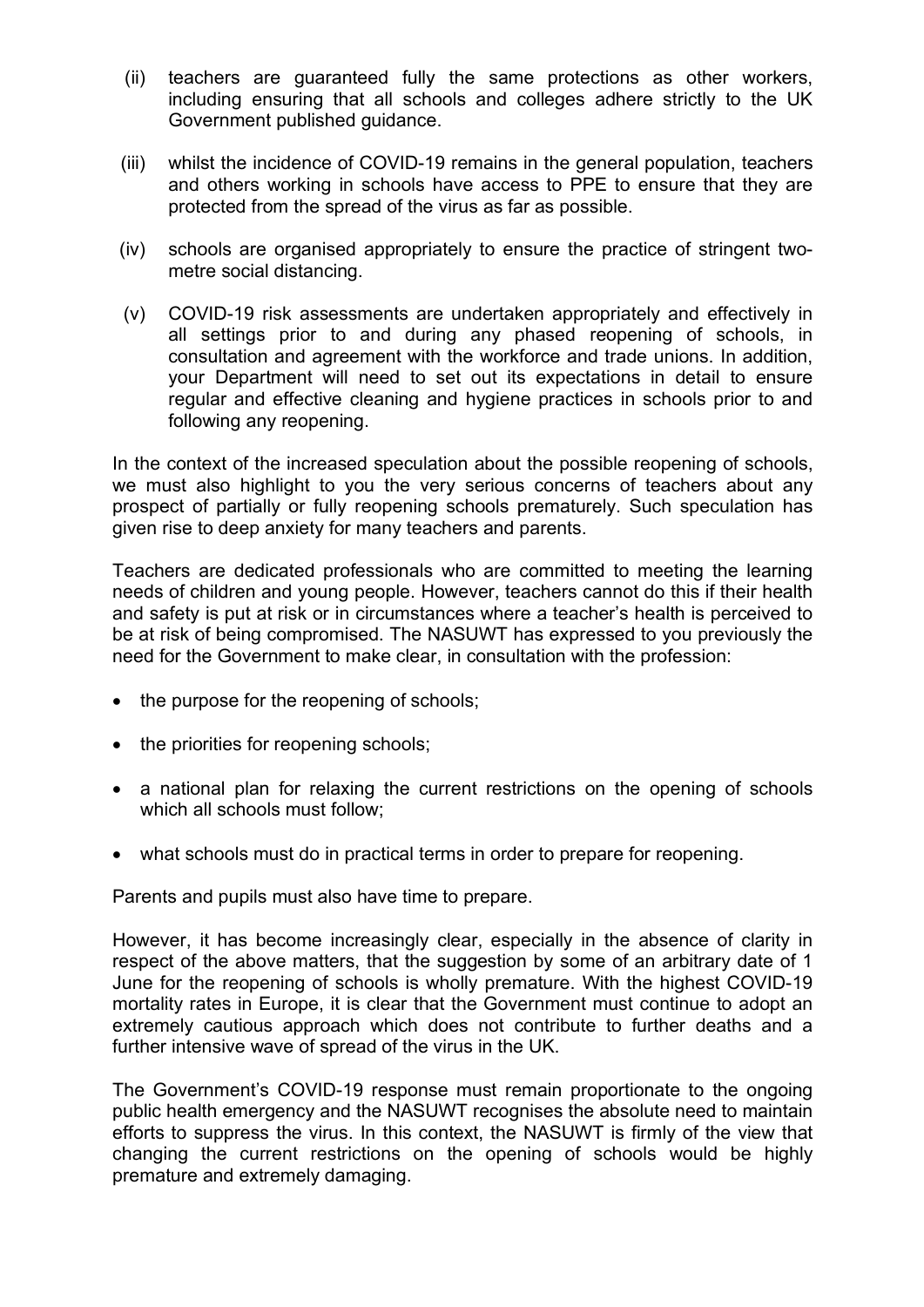- (ii) teachers are guaranteed fully the same protections as other workers, including ensuring that all schools and colleges adhere strictly to the UK Government published guidance.
- (iii) whilst the incidence of COVID-19 remains in the general population, teachers and others working in schools have access to PPE to ensure that they are protected from the spread of the virus as far as possible.
- (iv) schools are organised appropriately to ensure the practice of stringent twometre social distancing.
- (v) COVID-19 risk assessments are undertaken appropriately and effectively in all settings prior to and during any phased reopening of schools, in consultation and agreement with the workforce and trade unions. In addition, your Department will need to set out its expectations in detail to ensure regular and effective cleaning and hygiene practices in schools prior to and following any reopening.

In the context of the increased speculation about the possible reopening of schools, we must also highlight to you the very serious concerns of teachers about any prospect of partially or fully reopening schools prematurely. Such speculation has given rise to deep anxiety for many teachers and parents.

Teachers are dedicated professionals who are committed to meeting the learning needs of children and young people. However, teachers cannot do this if their health and safety is put at risk or in circumstances where a teacher's health is perceived to be at risk of being compromised. The NASUWT has expressed to you previously the need for the Government to make clear, in consultation with the profession:

- the purpose for the reopening of schools;
- the priorities for reopening schools;
- a national plan for relaxing the current restrictions on the opening of schools which all schools must follow:
- what schools must do in practical terms in order to prepare for reopening.

Parents and pupils must also have time to prepare.

However, it has become increasingly clear, especially in the absence of clarity in respect of the above matters, that the suggestion by some of an arbitrary date of 1 June for the reopening of schools is wholly premature. With the highest COVID-19 mortality rates in Europe, it is clear that the Government must continue to adopt an extremely cautious approach which does not contribute to further deaths and a further intensive wave of spread of the virus in the UK.

The Government's COVID-19 response must remain proportionate to the ongoing public health emergency and the NASUWT recognises the absolute need to maintain efforts to suppress the virus. In this context, the NASUWT is firmly of the view that changing the current restrictions on the opening of schools would be highly premature and extremely damaging.